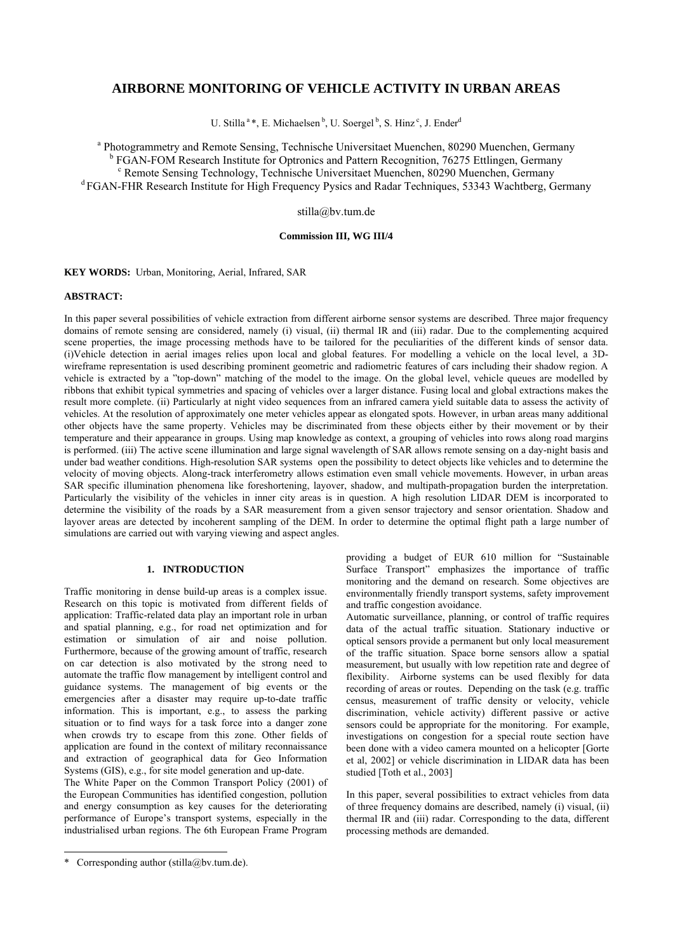# **AIRBORNE MONITORING OF VEHICLE ACTIVITY IN URBAN AREAS**

U. Stilla<sup>a</sup>\*, E. Michaelsen<sup>b</sup>, U. Soergel<sup>b</sup>, S. Hinz<sup>c</sup>, J. Ender<sup>d</sup>

<sup>a</sup> Photogrammetry and Remote Sensing, Technische Universitaet Muenchen, 80290 Muenchen, Germany <sup>b</sup> FGAN-FOM Research Institute for Optronics and Pattern Recognition, 76275 Ettlingen, Germany<br><sup>c</sup> Bamota Sansing Teabhalogy, Teabhische Universited Muanakan, 80200 Muanakan, Germany Remote Sensing Technology, Technische Universitaet Muenchen, 80290 Muenchen, Germany <sup>d</sup> FGAN-FHR Research Institute for High Frequency Pysics and Radar Techniques, 53343 Wachtberg, Germany

stilla@bv.tum.de

## **Commission III, WG III/4**

**KEY WORDS:** Urban, Monitoring, Aerial, Infrared, SAR

### **ABSTRACT:**

In this paper several possibilities of vehicle extraction from different airborne sensor systems are described. Three major frequency domains of remote sensing are considered, namely (i) visual, (ii) thermal IR and (iii) radar. Due to the complementing acquired scene properties, the image processing methods have to be tailored for the peculiarities of the different kinds of sensor data. (i)Vehicle detection in aerial images relies upon local and global features. For modelling a vehicle on the local level, a 3Dwireframe representation is used describing prominent geometric and radiometric features of cars including their shadow region. A vehicle is extracted by a "top-down" matching of the model to the image. On the global level, vehicle queues are modelled by ribbons that exhibit typical symmetries and spacing of vehicles over a larger distance. Fusing local and global extractions makes the result more complete. (ii) Particularly at night video sequences from an infrared camera yield suitable data to assess the activity of vehicles. At the resolution of approximately one meter vehicles appear as elongated spots. However, in urban areas many additional other objects have the same property. Vehicles may be discriminated from these objects either by their movement or by their temperature and their appearance in groups. Using map knowledge as context, a grouping of vehicles into rows along road margins is performed. (iii) The active scene illumination and large signal wavelength of SAR allows remote sensing on a day-night basis and under bad weather conditions. High-resolution SAR systems open the possibility to detect objects like vehicles and to determine the velocity of moving objects. Along-track interferometry allows estimation even small vehicle movements. However, in urban areas SAR specific illumination phenomena like foreshortening, layover, shadow, and multipath-propagation burden the interpretation. Particularly the visibility of the vehicles in inner city areas is in question. A high resolution LIDAR DEM is incorporated to determine the visibility of the roads by a SAR measurement from a given sensor trajectory and sensor orientation. Shadow and layover areas are detected by incoherent sampling of the DEM. In order to determine the optimal flight path a large number of simulations are carried out with varying viewing and aspect angles.

# **1. INTRODUCTION**

Traffic monitoring in dense build-up areas is a complex issue. Research on this topic is motivated from different fields of application: Traffic-related data play an important role in urban and spatial planning, e.g., for road net optimization and for estimation or simulation of air and noise pollution. Furthermore, because of the growing amount of traffic, research on car detection is also motivated by the strong need to automate the traffic flow management by intelligent control and guidance systems. The management of big events or the emergencies after a disaster may require up-to-date traffic information. This is important, e.g., to assess the parking situation or to find ways for a task force into a danger zone when crowds try to escape from this zone. Other fields of application are found in the context of military reconnaissance and extraction of geographical data for Geo Information Systems (GIS), e.g., for site model generation and up-date.

The White Paper on the Common Transport Policy (2001) of the European Communities has identified congestion, pollution and energy consumption as key causes for the deteriorating performance of Europe's transport systems, especially in the industrialised urban regions. The 6th European Frame Program

l

providing a budget of EUR 610 million for "Sustainable Surface Transport" emphasizes the importance of traffic monitoring and the demand on research. Some objectives are environmentally friendly transport systems, safety improvement and traffic congestion avoidance.

Automatic surveillance, planning, or control of traffic requires data of the actual traffic situation. Stationary inductive or optical sensors provide a permanent but only local measurement of the traffic situation. Space borne sensors allow a spatial measurement, but usually with low repetition rate and degree of flexibility. Airborne systems can be used flexibly for data recording of areas or routes. Depending on the task (e.g. traffic census, measurement of traffic density or velocity, vehicle discrimination, vehicle activity) different passive or active sensors could be appropriate for the monitoring. For example, investigations on congestion for a special route section have been done with a video camera mounted on a helicopter [Gorte et al, 2002] or vehicle discrimination in LIDAR data has been studied [Toth et al., 2003]

In this paper, several possibilities to extract vehicles from data of three frequency domains are described, namely (i) visual, (ii) thermal IR and (iii) radar. Corresponding to the data, different processing methods are demanded.

<sup>\*</sup> Corresponding author (stilla@bv.tum.de).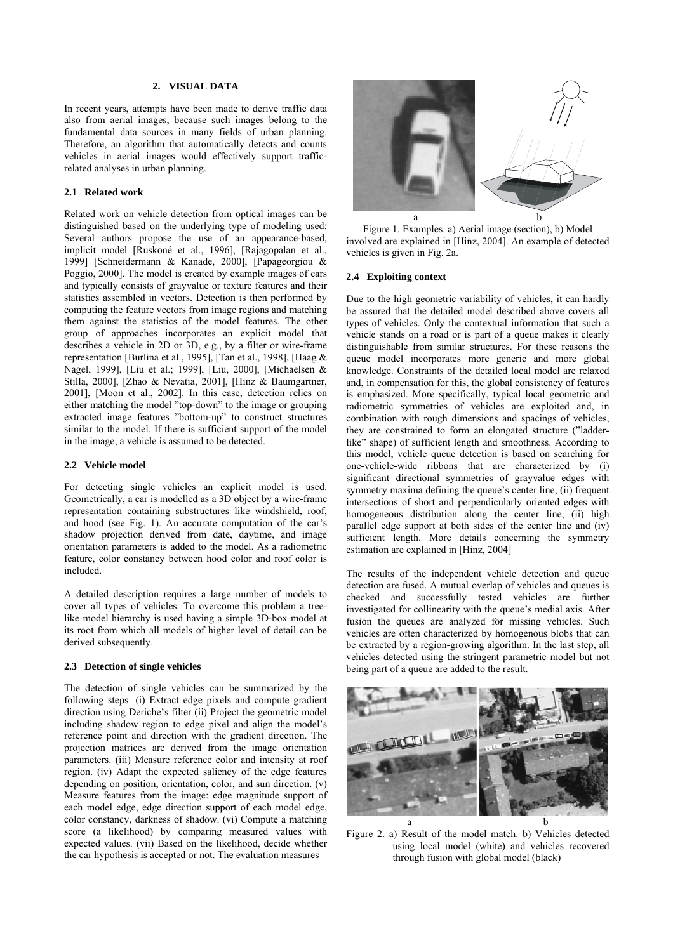# **2. VISUAL DATA**

In recent years, attempts have been made to derive traffic data also from aerial images, because such images belong to the fundamental data sources in many fields of urban planning. Therefore, an algorithm that automatically detects and counts vehicles in aerial images would effectively support trafficrelated analyses in urban planning.

#### **2.1 Related work**

Related work on vehicle detection from optical images can be distinguished based on the underlying type of modeling used: Several authors propose the use of an appearance-based, implicit model [Ruskoné et al., 1996], [Rajagopalan et al., 1999] [Schneidermann & Kanade, 2000], [Papageorgiou & Poggio, 2000]. The model is created by example images of cars and typically consists of grayvalue or texture features and their statistics assembled in vectors. Detection is then performed by computing the feature vectors from image regions and matching them against the statistics of the model features. The other group of approaches incorporates an explicit model that describes a vehicle in 2D or 3D, e.g., by a filter or wire-frame representation [Burlina et al., 1995], [Tan et al., 1998], [Haag & Nagel, 1999], [Liu et al.; 1999], [Liu, 2000], [Michaelsen & Stilla, 2000], [Zhao & Nevatia, 2001], [Hinz & Baumgartner, 2001], [Moon et al., 2002]. In this case, detection relies on either matching the model "top-down" to the image or grouping extracted image features "bottom-up" to construct structures similar to the model. If there is sufficient support of the model in the image, a vehicle is assumed to be detected.

#### **2.2 Vehicle model**

For detecting single vehicles an explicit model is used. Geometrically, a car is modelled as a 3D object by a wire-frame representation containing substructures like windshield, roof, and hood (see Fig. 1). An accurate computation of the car's shadow projection derived from date, daytime, and image orientation parameters is added to the model. As a radiometric feature, color constancy between hood color and roof color is included.

A detailed description requires a large number of models to cover all types of vehicles. To overcome this problem a treelike model hierarchy is used having a simple 3D-box model at its root from which all models of higher level of detail can be derived subsequently.

### **2.3 Detection of single vehicles**

The detection of single vehicles can be summarized by the following steps: (i) Extract edge pixels and compute gradient direction using Deriche's filter (ii) Project the geometric model including shadow region to edge pixel and align the model's reference point and direction with the gradient direction. The projection matrices are derived from the image orientation parameters. (iii) Measure reference color and intensity at roof region. (iv) Adapt the expected saliency of the edge features depending on position, orientation, color, and sun direction. (v) Measure features from the image: edge magnitude support of each model edge, edge direction support of each model edge, color constancy, darkness of shadow. (vi) Compute a matching score (a likelihood) by comparing measured values with expected values. (vii) Based on the likelihood, decide whether the car hypothesis is accepted or not. The evaluation measures



Figure 1. Examples. a) Aerial image (section), b) Model involved are explained in [Hinz, 2004]. An example of detected vehicles is given in Fig. 2a.

### **2.4 Exploiting context**

Due to the high geometric variability of vehicles, it can hardly be assured that the detailed model described above covers all types of vehicles. Only the contextual information that such a vehicle stands on a road or is part of a queue makes it clearly distinguishable from similar structures. For these reasons the queue model incorporates more generic and more global knowledge. Constraints of the detailed local model are relaxed and, in compensation for this, the global consistency of features is emphasized. More specifically, typical local geometric and radiometric symmetries of vehicles are exploited and, in combination with rough dimensions and spacings of vehicles, they are constrained to form an elongated structure ("ladderlike" shape) of sufficient length and smoothness. According to this model, vehicle queue detection is based on searching for one-vehicle-wide ribbons that are characterized by (i) significant directional symmetries of grayvalue edges with symmetry maxima defining the queue's center line, (ii) frequent intersections of short and perpendicularly oriented edges with homogeneous distribution along the center line, (ii) high parallel edge support at both sides of the center line and (iv) sufficient length. More details concerning the symmetry estimation are explained in [Hinz, 2004]

The results of the independent vehicle detection and queue detection are fused. A mutual overlap of vehicles and queues is checked and successfully tested vehicles are further investigated for collinearity with the queue's medial axis. After fusion the queues are analyzed for missing vehicles. Such vehicles are often characterized by homogenous blobs that can be extracted by a region-growing algorithm. In the last step, all vehicles detected using the stringent parametric model but not being part of a queue are added to the result.



Figure 2. a) Result of the model match. b) Vehicles detected using local model (white) and vehicles recovered through fusion with global model (black)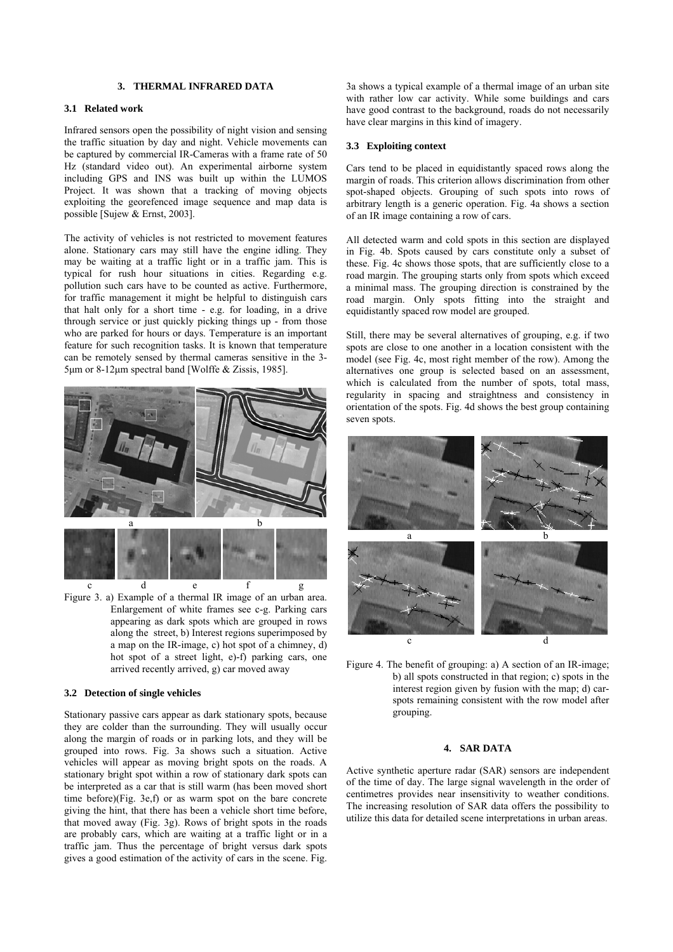### **3. THERMAL INFRARED DATA**

### **3.1 Related work**

Infrared sensors open the possibility of night vision and sensing the traffic situation by day and night. Vehicle movements can be captured by commercial IR-Cameras with a frame rate of 50 Hz (standard video out). An experimental airborne system including GPS and INS was built up within the LUMOS Project. It was shown that a tracking of moving objects exploiting the georefenced image sequence and map data is possible [Sujew & Ernst, 2003].

The activity of vehicles is not restricted to movement features alone. Stationary cars may still have the engine idling. They may be waiting at a traffic light or in a traffic jam. This is typical for rush hour situations in cities. Regarding e.g. pollution such cars have to be counted as active. Furthermore, for traffic management it might be helpful to distinguish cars that halt only for a short time - e.g. for loading, in a drive through service or just quickly picking things up - from those who are parked for hours or days. Temperature is an important feature for such recognition tasks. It is known that temperature can be remotely sensed by thermal cameras sensitive in the 3- 5µm or 8-12µm spectral band [Wolffe & Zissis, 1985].



Figure 3. a) Example of a thermal IR image of an urban area. Enlargement of white frames see c-g. Parking cars appearing as dark spots which are grouped in rows along the street, b) Interest regions superimposed by a map on the IR-image, c) hot spot of a chimney, d) hot spot of a street light, e)-f) parking cars, one arrived recently arrived, g) car moved away

### **3.2 Detection of single vehicles**

Stationary passive cars appear as dark stationary spots, because they are colder than the surrounding. They will usually occur along the margin of roads or in parking lots, and they will be grouped into rows. Fig. 3a shows such a situation. Active vehicles will appear as moving bright spots on the roads. A stationary bright spot within a row of stationary dark spots can be interpreted as a car that is still warm (has been moved short time before)(Fig. 3e,f) or as warm spot on the bare concrete giving the hint, that there has been a vehicle short time before, that moved away (Fig. 3g). Rows of bright spots in the roads are probably cars, which are waiting at a traffic light or in a traffic jam. Thus the percentage of bright versus dark spots gives a good estimation of the activity of cars in the scene. Fig.

3a shows a typical example of a thermal image of an urban site with rather low car activity. While some buildings and cars have good contrast to the background, roads do not necessarily have clear margins in this kind of imagery.

### **3.3 Exploiting context**

Cars tend to be placed in equidistantly spaced rows along the margin of roads. This criterion allows discrimination from other spot-shaped objects. Grouping of such spots into rows of arbitrary length is a generic operation. Fig. 4a shows a section of an IR image containing a row of cars.

All detected warm and cold spots in this section are displayed in Fig. 4b. Spots caused by cars constitute only a subset of these. Fig. 4c shows those spots, that are sufficiently close to a road margin. The grouping starts only from spots which exceed a minimal mass. The grouping direction is constrained by the road margin. Only spots fitting into the straight and equidistantly spaced row model are grouped.

Still, there may be several alternatives of grouping, e.g. if two spots are close to one another in a location consistent with the model (see Fig. 4c, most right member of the row). Among the alternatives one group is selected based on an assessment, which is calculated from the number of spots, total mass, regularity in spacing and straightness and consistency in orientation of the spots. Fig. 4d shows the best group containing seven spots.



Figure 4. The benefit of grouping: a) A section of an IR-image; b) all spots constructed in that region; c) spots in the interest region given by fusion with the map; d) carspots remaining consistent with the row model after grouping.

## **4. SAR DATA**

Active synthetic aperture radar (SAR) sensors are independent of the time of day. The large signal wavelength in the order of centimetres provides near insensitivity to weather conditions. The increasing resolution of SAR data offers the possibility to utilize this data for detailed scene interpretations in urban areas.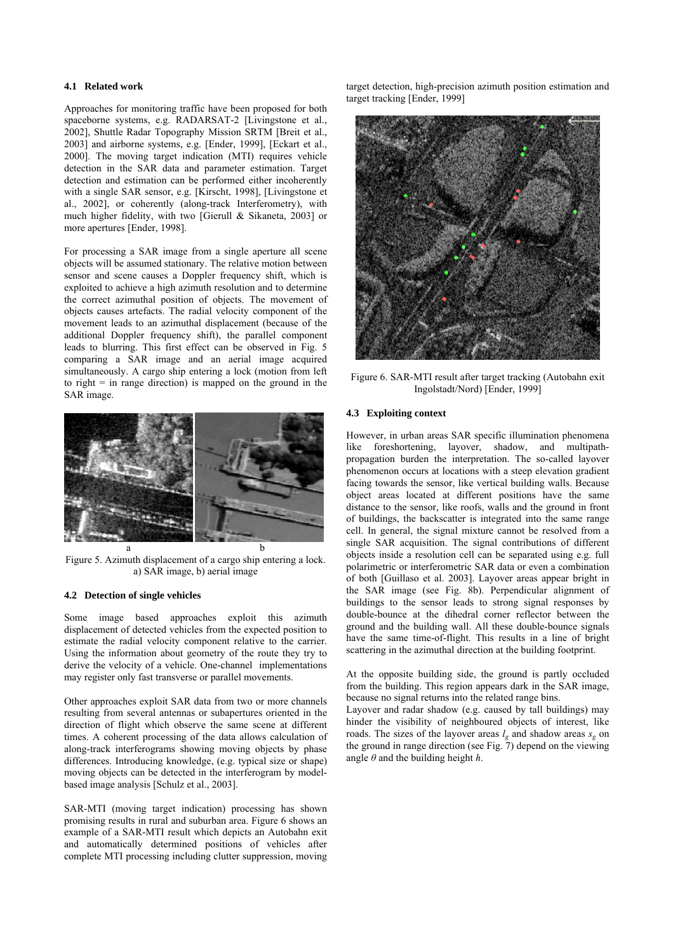### **4.1 Related work**

Approaches for monitoring traffic have been proposed for both spaceborne systems, e.g. RADARSAT-2 [Livingstone et al., 2002], Shuttle Radar Topography Mission SRTM [Breit et al., 2003] and airborne systems, e.g. [Ender, 1999], [Eckart et al., 2000]. The moving target indication (MTI) requires vehicle detection in the SAR data and parameter estimation. Target detection and estimation can be performed either incoherently with a single SAR sensor, e.g. [Kirscht, 1998], [Livingstone et al., 2002], or coherently (along-track Interferometry), with much higher fidelity, with two [Gierull & Sikaneta, 2003] or more apertures [Ender, 1998].

For processing a SAR image from a single aperture all scene objects will be assumed stationary. The relative motion between sensor and scene causes a Doppler frequency shift, which is exploited to achieve a high azimuth resolution and to determine the correct azimuthal position of objects. The movement of objects causes artefacts. The radial velocity component of the movement leads to an azimuthal displacement (because of the additional Doppler frequency shift), the parallel component leads to blurring. This first effect can be observed in Fig. 5 comparing a SAR image and an aerial image acquired simultaneously. A cargo ship entering a lock (motion from left to right  $=$  in range direction) is mapped on the ground in the SAR image.



Figure 5. Azimuth displacement of a cargo ship entering a lock. a) SAR image, b) aerial image

#### **4.2 Detection of single vehicles**

Some image based approaches exploit this azimuth displacement of detected vehicles from the expected position to estimate the radial velocity component relative to the carrier. Using the information about geometry of the route they try to derive the velocity of a vehicle. One-channel implementations may register only fast transverse or parallel movements.

Other approaches exploit SAR data from two or more channels resulting from several antennas or subapertures oriented in the direction of flight which observe the same scene at different times. A coherent processing of the data allows calculation of along-track interferograms showing moving objects by phase differences. Introducing knowledge, (e.g. typical size or shape) moving objects can be detected in the interferogram by modelbased image analysis [Schulz et al., 2003].

SAR-MTI (moving target indication) processing has shown promising results in rural and suburban area. Figure 6 shows an example of a SAR-MTI result which depicts an Autobahn exit and automatically determined positions of vehicles after complete MTI processing including clutter suppression, moving

target detection, high-precision azimuth position estimation and target tracking [Ender, 1999]



Figure 6. SAR-MTI result after target tracking (Autobahn exit Ingolstadt/Nord) [Ender, 1999]

# **4.3 Exploiting context**

However, in urban areas SAR specific illumination phenomena like foreshortening, layover, shadow, and multipathpropagation burden the interpretation. The so-called layover phenomenon occurs at locations with a steep elevation gradient facing towards the sensor, like vertical building walls. Because object areas located at different positions have the same distance to the sensor, like roofs, walls and the ground in front of buildings, the backscatter is integrated into the same range cell. In general, the signal mixture cannot be resolved from a single SAR acquisition. The signal contributions of different objects inside a resolution cell can be separated using e.g. full polarimetric or interferometric SAR data or even a combination of both [Guillaso et al. 2003]. Layover areas appear bright in the SAR image (see Fig. 8b). Perpendicular alignment of buildings to the sensor leads to strong signal responses by double-bounce at the dihedral corner reflector between the ground and the building wall. All these double-bounce signals have the same time-of-flight. This results in a line of bright scattering in the azimuthal direction at the building footprint.

At the opposite building side, the ground is partly occluded from the building. This region appears dark in the SAR image, because no signal returns into the related range bins.

Layover and radar shadow (e.g. caused by tall buildings) may hinder the visibility of neighboured objects of interest, like roads. The sizes of the layover areas  $l_g$  and shadow areas  $s_g$  on the ground in range direction (see Fig. 7) depend on the viewing angle *θ* and the building height *h*.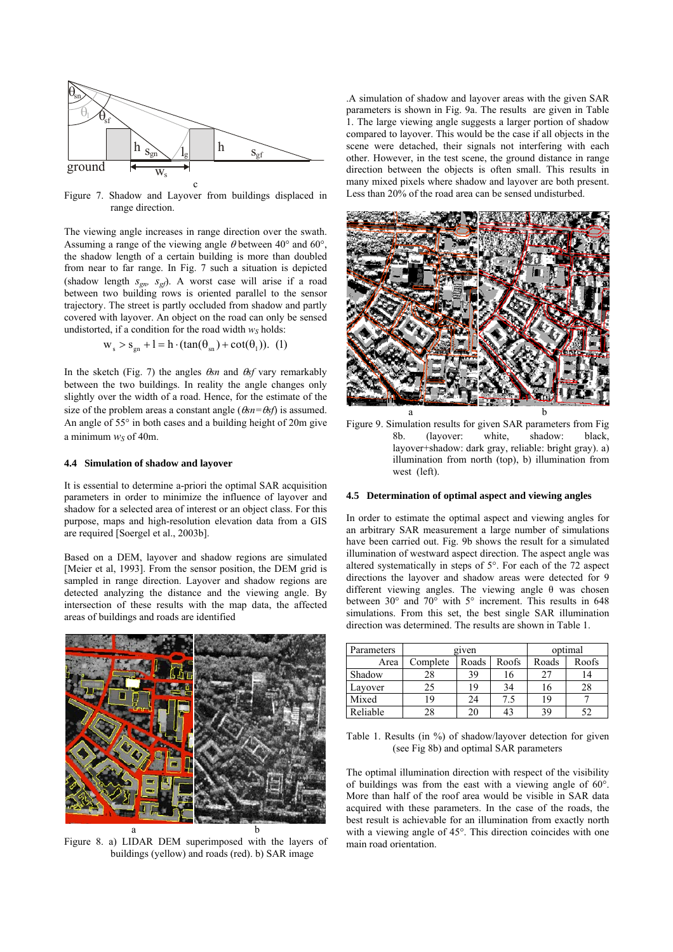

Figure 7. Shadow and Layover from buildings displaced in range direction.

The viewing angle increases in range direction over the swath. Assuming a range of the viewing angle  $\theta$  between 40° and 60°. the shadow length of a certain building is more than doubled from near to far range. In Fig. 7 such a situation is depicted (shadow length *sgn, sgf*). A worst case will arise if a road between two building rows is oriented parallel to the sensor trajectory. The street is partly occluded from shadow and partly covered with layover. An object on the road can only be sensed undistorted, if a condition for the road width  $w_s$  holds:

$$
w_s > s_{gn} + l = h \cdot (tan(\theta_{sn}) + cot(\theta_1)).
$$
 (1)

In the sketch (Fig. 7) the angles θ*sn* and θ*sf* vary remarkably between the two buildings. In reality the angle changes only slightly over the width of a road. Hence, for the estimate of the size of the problem areas a constant angle (θ*sn=*θ*sf*) is assumed. An angle of 55° in both cases and a building height of 20m give a minimum  $w_S$  of 40m.

### **4.4 Simulation of shadow and layover**

It is essential to determine a-priori the optimal SAR acquisition parameters in order to minimize the influence of layover and shadow for a selected area of interest or an object class. For this purpose, maps and high-resolution elevation data from a GIS are required [Soergel et al., 2003b].

Based on a DEM, layover and shadow regions are simulated [Meier et al, 1993]. From the sensor position, the DEM grid is sampled in range direction. Layover and shadow regions are detected analyzing the distance and the viewing angle. By intersection of these results with the map data, the affected areas of buildings and roads are identified



Figure 8. a) LIDAR DEM superimposed with the layers of buildings (yellow) and roads (red). b) SAR image

.A simulation of shadow and layover areas with the given SAR parameters is shown in Fig. 9a. The results are given in Table 1. The large viewing angle suggests a larger portion of shadow compared to layover. This would be the case if all objects in the scene were detached, their signals not interfering with each other. However, in the test scene, the ground distance in range direction between the objects is often small. This results in many mixed pixels where shadow and layover are both present. Less than 20% of the road area can be sensed undisturbed.





### **4.5 Determination of optimal aspect and viewing angles**

In order to estimate the optimal aspect and viewing angles for an arbitrary SAR measurement a large number of simulations have been carried out. Fig. 9b shows the result for a simulated illumination of westward aspect direction. The aspect angle was altered systematically in steps of 5°. For each of the 72 aspect directions the layover and shadow areas were detected for 9 different viewing angles. The viewing angle  $\theta$  was chosen between 30° and 70° with 5° increment. This results in 648 simulations. From this set, the best single SAR illumination direction was determined. The results are shown in Table 1.

| Parameters | given    |       |       | optimal |       |
|------------|----------|-------|-------|---------|-------|
| Area       | Complete | Roads | Roofs | Roads   | Roofs |
| Shadow     | 28       | 39    | 16    |         |       |
| Lavover    | 25       | 19    | 34    |         | 28    |
| Mixed      | 19       | 24    | 7.5   | 19      |       |
| Reliable   | 28       | 20    | 43    | 39      |       |

Table 1. Results (in %) of shadow/layover detection for given (see Fig 8b) and optimal SAR parameters

The optimal illumination direction with respect of the visibility of buildings was from the east with a viewing angle of 60°. More than half of the roof area would be visible in SAR data acquired with these parameters. In the case of the roads, the best result is achievable for an illumination from exactly north with a viewing angle of 45°. This direction coincides with one main road orientation.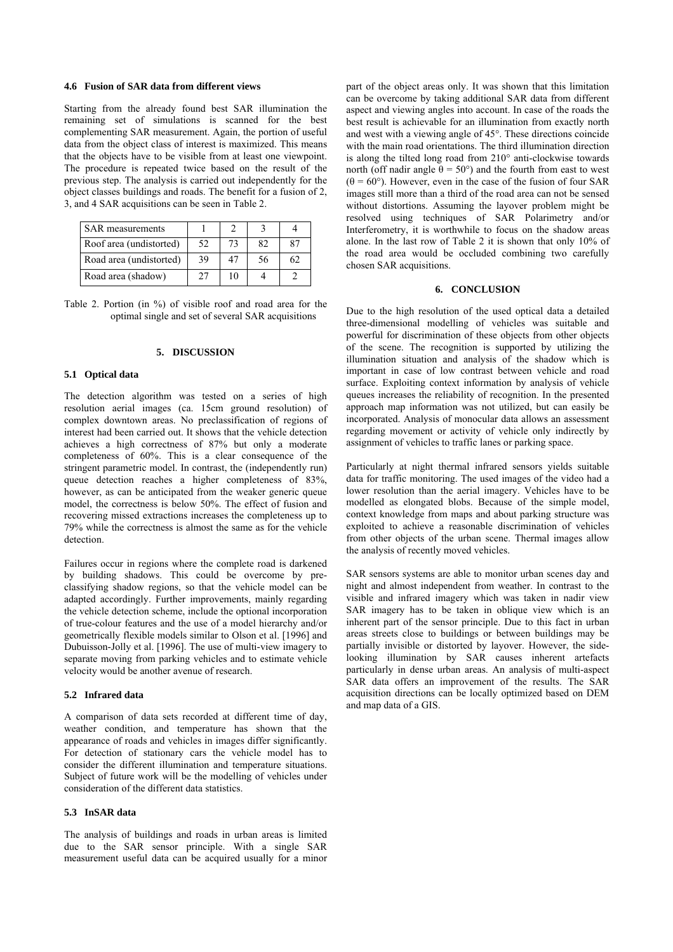### **4.6 Fusion of SAR data from different views**

Starting from the already found best SAR illumination the remaining set of simulations is scanned for the best complementing SAR measurement. Again, the portion of useful data from the object class of interest is maximized. This means that the objects have to be visible from at least one viewpoint. The procedure is repeated twice based on the result of the previous step. The analysis is carried out independently for the object classes buildings and roads. The benefit for a fusion of 2, 3, and 4 SAR acquisitions can be seen in Table 2.

| <b>SAR</b> measurements |    |    |    |    |
|-------------------------|----|----|----|----|
| Roof area (undistorted) | 52 | 73 | 82 |    |
| Road area (undistorted) | 39 | 47 | 56 | 62 |
| Road area (shadow)      | 27 | 10 |    |    |

Table 2. Portion (in %) of visible roof and road area for the optimal single and set of several SAR acquisitions

### **5. DISCUSSION**

#### **5.1 Optical data**

The detection algorithm was tested on a series of high resolution aerial images (ca. 15cm ground resolution) of complex downtown areas. No preclassification of regions of interest had been carried out. It shows that the vehicle detection achieves a high correctness of 87% but only a moderate completeness of 60%. This is a clear consequence of the stringent parametric model. In contrast, the (independently run) queue detection reaches a higher completeness of 83%, however, as can be anticipated from the weaker generic queue model, the correctness is below 50%. The effect of fusion and recovering missed extractions increases the completeness up to 79% while the correctness is almost the same as for the vehicle detection.

Failures occur in regions where the complete road is darkened by building shadows. This could be overcome by preclassifying shadow regions, so that the vehicle model can be adapted accordingly. Further improvements, mainly regarding the vehicle detection scheme, include the optional incorporation of true-colour features and the use of a model hierarchy and/or geometrically flexible models similar to Olson et al. [1996] and Dubuisson-Jolly et al. [1996]. The use of multi-view imagery to separate moving from parking vehicles and to estimate vehicle velocity would be another avenue of research.

### **5.2 Infrared data**

A comparison of data sets recorded at different time of day, weather condition, and temperature has shown that the appearance of roads and vehicles in images differ significantly. For detection of stationary cars the vehicle model has to consider the different illumination and temperature situations. Subject of future work will be the modelling of vehicles under consideration of the different data statistics.

# **5.3 InSAR data**

The analysis of buildings and roads in urban areas is limited due to the SAR sensor principle. With a single SAR measurement useful data can be acquired usually for a minor part of the object areas only. It was shown that this limitation can be overcome by taking additional SAR data from different aspect and viewing angles into account. In case of the roads the best result is achievable for an illumination from exactly north and west with a viewing angle of 45°. These directions coincide with the main road orientations. The third illumination direction is along the tilted long road from 210° anti-clockwise towards north (off nadir angle  $\theta = 50^{\circ}$ ) and the fourth from east to west  $(\theta = 60^{\circ})$ . However, even in the case of the fusion of four SAR images still more than a third of the road area can not be sensed without distortions. Assuming the layover problem might be resolved using techniques of SAR Polarimetry and/or Interferometry, it is worthwhile to focus on the shadow areas alone. In the last row of Table 2 it is shown that only 10% of the road area would be occluded combining two carefully chosen SAR acquisitions.

### **6. CONCLUSION**

Due to the high resolution of the used optical data a detailed three-dimensional modelling of vehicles was suitable and powerful for discrimination of these objects from other objects of the scene. The recognition is supported by utilizing the illumination situation and analysis of the shadow which is important in case of low contrast between vehicle and road surface. Exploiting context information by analysis of vehicle queues increases the reliability of recognition. In the presented approach map information was not utilized, but can easily be incorporated. Analysis of monocular data allows an assessment regarding movement or activity of vehicle only indirectly by assignment of vehicles to traffic lanes or parking space.

Particularly at night thermal infrared sensors yields suitable data for traffic monitoring. The used images of the video had a lower resolution than the aerial imagery. Vehicles have to be modelled as elongated blobs. Because of the simple model, context knowledge from maps and about parking structure was exploited to achieve a reasonable discrimination of vehicles from other objects of the urban scene. Thermal images allow the analysis of recently moved vehicles.

SAR sensors systems are able to monitor urban scenes day and night and almost independent from weather. In contrast to the visible and infrared imagery which was taken in nadir view SAR imagery has to be taken in oblique view which is an inherent part of the sensor principle. Due to this fact in urban areas streets close to buildings or between buildings may be partially invisible or distorted by layover. However, the sidelooking illumination by SAR causes inherent artefacts particularly in dense urban areas. An analysis of multi-aspect SAR data offers an improvement of the results. The SAR acquisition directions can be locally optimized based on DEM and map data of a GIS.